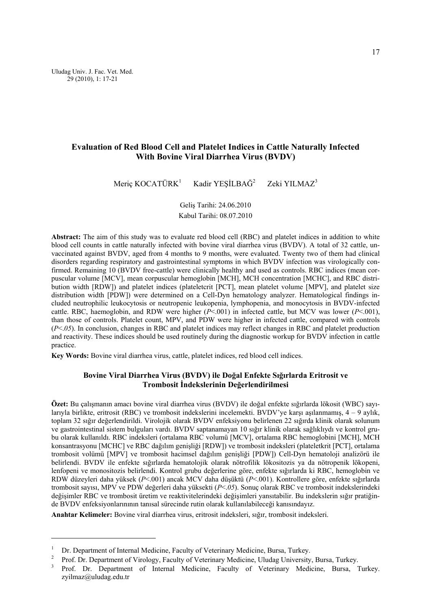# **Evaluation of Red Blood Cell and Platelet Indices in Cattle Naturally Infected With Bovine Viral Diarrhea Virus (BVDV)**

Meriç KOCATÜRK<sup>1</sup> Kadir YESİLBAĞ<sup>2</sup> Zeki YILMAZ<sup>3</sup>

> Geliş Tarihi: 24.06.2010 Kabul Tarihi: 08.07.2010

Abstract: The aim of this study was to evaluate red blood cell (RBC) and platelet indices in addition to white blood cell counts in cattle naturally infected with bovine viral diarrhea virus (BVDV). A total of 32 cattle, unvaccinated against BVDV, aged from 4 months to 9 months, were evaluated. Twenty two of them had clinical disorders regarding respiratory and gastrointestinal symptoms in which BVDV infection was virologically confirmed. Remaining 10 (BVDV free-cattle) were clinically healthy and used as controls. RBC indices (mean corpuscular volume [MCV], mean corpuscular hemoglobin [MCH], MCH concentration [MCHC], and RBC distribution width [RDW]) and platelet indices (plateletcrit [PCT], mean platelet volume [MPV], and platelet size distribution width [PDW]) were determined on a Cell-Dyn hematology analyzer. Hematological findings included neutrophilic leukocytosis or neutropenic leukopenia, lymphopenia, and monocytosis in BVDV-infected cattle. RBC, haemoglobin, and RDW were higher (*P*<.001) in infected cattle, but MCV was lower (*P*<.001), than those of controls. Platelet count, MPV, and PDW were higher in infected cattle, compared with controls (*P*<.*05*). In conclusion, changes in RBC and platelet indices may reflect changes in RBC and platelet production and reactivity. These indices should be used routinely during the diagnostic workup for BVDV infection in cattle practice.

**Key Words:** Bovine viral diarrhea virus, cattle, platelet indices, red blood cell indices.

# **Bovine Viral Diarrhea Virus (BVDV) ile Doğal Enfekte Sığırlarda Eritrosit ve Trombosit İndekslerinin Değerlendirilmesi**

**Özet:** Bu çalışmanın amacı bovine viral diarrhea virus (BVDV) ile doğal enfekte sığırlarda lökosit (WBC) sayılarıyla birlikte, eritrosit (RBC) ve trombosit indekslerini incelemekti. BVDV'ye karsı asılanmamış,  $4 - 9$  aylık, toplam 32 sığır değerlendirildi. Virolojik olarak BVDV enfeksiyonu belirlenen 22 sığırda klinik olarak solunum ve gastrointestinal sistem bulguları vardı. BVDV saptanamayan 10 sığır klinik olarak sağlıklıydı ve kontrol grubu olarak kullanıldı. RBC indeksleri (ortalama RBC volumü [MCV], ortalama RBC hemoglobini [MCH], MCH konsantrasyonu [MCHC] ve RBC dağılım genişliği [RDW]) ve trombosit indeksleri (plateletkrit [PCT], ortalama trombosit volümü [MPV] ve trombosit hacimsel dağılım genişliği [PDW]) Cell-Dyn hematoloji analizörü ile belirlendi. BVDV ile enfekte sığırlarda hematolojik olarak nötrofilik lökositozis ya da nötropenik lökopeni, lenfopeni ve monositozis belirlendi. Kontrol grubu değerlerine göre, enfekte sığırlarda ki RBC, hemoglobin ve RDW düzeyleri daha yüksek (*P*<.001) ancak MCV daha düşüktü (*P*<.001). Kontrollere göre, enfekte sığırlarda trombosit sayısı, MPV ve PDW değerleri daha yüksekti (*P*<.*05*). Sonuç olarak RBC ve trombosit indekslerindeki değişimler RBC ve trombosit üretim ve reaktivitelerindeki değişimleri yansıtabilir. Bu indekslerin sığır pratiğinde BVDV enfeksiyonlarınının tanısal sürecinde rutin olarak kullanılabileceği kanısındayız.

**Anahtar Kelimeler:** Bovine viral diarrhea virus, eritrosit indeksleri, sığır, trombosit indeksleri.

l

<sup>&</sup>lt;sup>1</sup> Dr. Department of Internal Medicine, Faculty of Veterinary Medicine, Bursa, Turkey.<br><sup>2</sup> Prof. Dr. Department of Virology, Faculty of Veterinary Medicine, Bursa, Turkey.<br><sup>3</sup> Prof. Dr. Department of Internal Medicine, F

<sup>3</sup> Prof. Dr. Department of Internal Medicine, Faculty of Veterinary Medicine, Bursa, Turkey. zyilmaz@uludag.edu.tr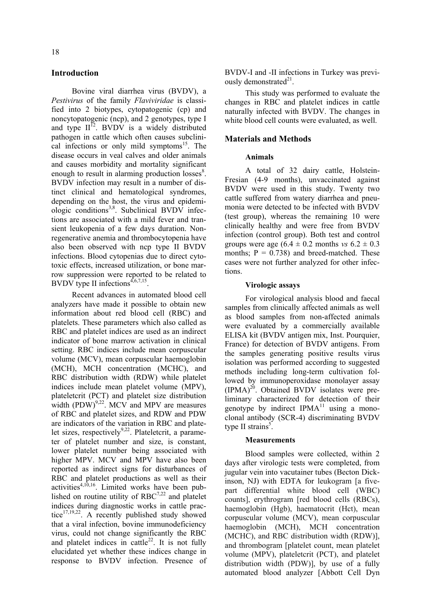# **Introduction**

Bovine viral diarrhea virus (BVDV), a *Pestivirus* of the family *Flaviviridae* is classified into 2 biotypes, cytopatogenic (cp) and noncytopatogenic (ncp), and 2 genotypes, type I and type  $II^2$ . BVDV is a widely distributed pathogen in cattle which often causes subclinical infections or only mild symptoms $15$ . The disease occurs in veal calves and older animals and causes morbidity and mortality significant enough to result in alarming production losses<sup>8</sup>. BVDV infection may result in a number of distinct clinical and hematological syndromes, depending on the host, the virus and epidemiologic conditions<sup>3,8</sup>. Subclinical BVDV infections are associated with a mild fever and transient leukopenia of a few days duration. Nonregenerative anemia and thrombocytopenia have also been observed with ncp type II BVDV infections. Blood cytopenias due to direct cytotoxic effects, increased utilization, or bone marrow suppression were reported to be related to BVDV type II infections<sup> $4,6,7,15$ </sup>.

Recent advances in automated blood cell analyzers have made it possible to obtain new information about red blood cell (RBC) and platelets. These parameters which also called as RBC and platelet indices are used as an indirect indicator of bone marrow activation in clinical setting. RBC indices include mean corpuscular volume (MCV), mean corpuscular haemoglobin (MCH), MCH concentration (MCHC), and RBC distribution width (RDW) while platelet indices include mean platelet volume (MPV), plateletcrit (PCT) and platelet size distribution width  $(PDW)^{9,22}$ . MCV and MPV are measures of RBC and platelet sizes, and RDW and PDW are indicators of the variation in RBC and platelet sizes, respectively<sup>9,22</sup>. Plateletcrit, a parameter of platelet number and size, is constant, lower platelet number being associated with higher MPV. MCV and MPV have also been reported as indirect signs for disturbances of RBC and platelet productions as well as their activities<sup>4,10,16</sup>. Limited works have been published on routine utility of  $RBC^{7,22}$  and platelet indices during diagnostic works in cattle practice $17,19,22$ . A recently published study showed that a viral infection, bovine immunodeficiency virus, could not change significantly the RBC and platelet indices in cattle<sup>22</sup>. It is not fully elucidated yet whether these indices change in response to BVDV infection. Presence of BVDV-I and -II infections in Turkey was previously demonstrated $2<sup>1</sup>$ .

This study was performed to evaluate the changes in RBC and platelet indices in cattle naturally infected with BVDV. The changes in white blood cell counts were evaluated, as well.

### **Materials and Methods**

#### **Animals**

A total of 32 dairy cattle, Holstein-Fresian (4-9 months), unvaccinated against BVDV were used in this study. Twenty two cattle suffered from watery diarrhea and pneumonia were detected to be infected with BVDV (test group), whereas the remaining 10 were clinically healthy and were free from BVDV infection (control group). Both test and control groups were age  $(6.4 \pm 0.2 \text{ months} \text{ vs } 6.2 \pm 0.3 \text{)}$ months;  $P = 0.738$ ) and breed-matched. These cases were not further analyzed for other infections.

#### **Virologic assays**

For virological analysis blood and faecal samples from clinically affected animals as well as blood samples from non-affected animals were evaluated by a commercially available ELISA kit (BVDV antigen mix, Inst. Pourquier, France) for detection of BVDV antigens. From the samples generating positive results virus isolation was performed according to suggested methods including long-term cultivation followed by immunoperoxidase monolayer assay (IPMA)<sup>20</sup>. Obtained BVDV isolates were preliminary characterized for detection of their genotype by indirect  $IPMA<sup>11</sup>$  using a monoclonal antibody (SCR-4) discriminating BVDV type II strains<sup>5</sup>.

#### **Measurements**

Blood samples were collected, within 2 days after virologic tests were completed, from jugular vein into vacutainer tubes (Becton Dickinson, NJ) with EDTA for leukogram [a fivepart differential white blood cell (WBC) counts], erythrogram [red blood cells (RBCs), haemoglobin (Hgb), haematocrit (Hct), mean corpuscular volume (MCV), mean corpuscular haemoglobin (MCH), MCH concentration (MCHC), and RBC distribution width (RDW)], and thrombogram [platelet count, mean platelet volume (MPV), plateletcrit (PCT), and platelet distribution width (PDW)], by use of a fully automated blood analyzer [Abbott Cell Dyn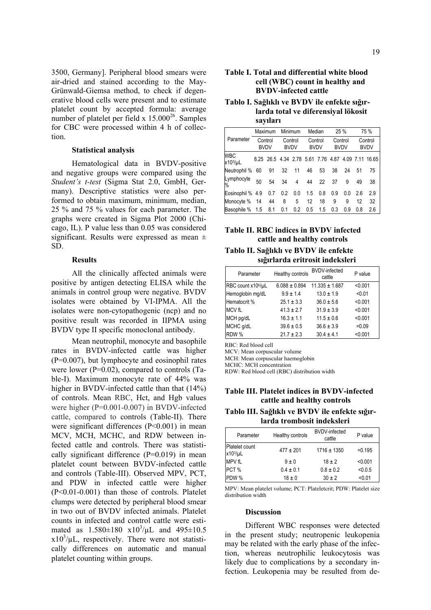3500, Germany]. Peripheral blood smears were air-dried and stained according to the May-Grünwald-Giemsa method, to check if degenerative blood cells were present and to estimate platelet count by accepted formula: average number of platelet per field  $x$  15.000<sup>26</sup>. Samples for CBC were processed within 4 h of collection.

#### **Statistical analysis**

Hematological data in BVDV-positive and negative groups were compared using the *Student's t-test* (Sigma Stat 2.0, GmbH, Germany). Descriptive statistics were also performed to obtain maximum, minimum, median, 25 % and 75 % values for each parameter. The graphs were created in Sigma Plot 2000 (Chicago, IL). P value less than 0.05 was considered significant. Results were expressed as mean  $\pm$ SD.

#### **Results**

All the clinically affected animals were positive by antigen detecting ELISA while the animals in control group were negative. BVDV isolates were obtained by VI-IPMA. All the isolates were non-cytopathogenic (ncp) and no positive result was recorded in IIPMA using BVDV type II specific monoclonal antibody.

Mean neutrophil, monocyte and basophile rates in BVDV-infected cattle was higher (P=0.007), but lymphocyte and eosinophil rates were lower ( $P=0.02$ ), compared to controls (Table-I). Maximum monocyte rate of 44% was higher in BVDV-infected cattle than that (14%) of controls. Mean RBC, Hct, and Hgb values were higher (P=0.001-0.007) in BVDV-infected cattle, compared to controls (Table-II). There were significant differences (P<0.001) in mean MCV, MCH, MCHC, and RDW between infected cattle and controls. There was statistically significant difference  $(P=0.019)$  in mean platelet count between BVDV-infected cattle and controls (Table-III). Observed MPV, PCT, and PDW in infected cattle were higher (P<0.01-0.001) than those of controls. Platelet clumps were detected by peripheral blood smear in two out of BVDV infected animals. Platelet counts in infected and control cattle were estimated as  $1.580 \pm 180 \times 10^3/\mu L$  and  $495 \pm 10.5$  $x10^3/\mu L$ , respectively. There were not statistically differences on automatic and manual platelet counting within groups.

# **Table I. Total and differential white blood cell (WBC) count in healthy and BVDV-infected cattle**

### **Tablo I. Sağlıklı ve BVDV ile enfekte sığırlarda total ve diferensiyal lökosit sayıları**

|                       | Maximum                |     | Minimum                |     | Median                 |     | 25 %                   |     | 75 %                   |                                                    |
|-----------------------|------------------------|-----|------------------------|-----|------------------------|-----|------------------------|-----|------------------------|----------------------------------------------------|
| Parameter             | Control<br><b>BVDV</b> |     | Control<br><b>BVDV</b> |     | Control<br><b>BVDV</b> |     | Control<br><b>BVDV</b> |     | Control<br><b>BVDV</b> |                                                    |
| <b>WBC</b><br>x103/µL |                        |     |                        |     |                        |     |                        |     |                        | 8.25 26.5 4.34 2.78 5.61 7.76 4.87 4.09 7.11 16.65 |
| Neutrophil %          | 60                     | 91  | 32                     | 11  | 46                     | 53  | 38                     | 24  | 51                     | 75                                                 |
| Lymphocyte<br>%       | 50                     | 54  | 34                     | 4   | 44                     | 22  | 37                     | 9   | 49                     | 38                                                 |
| Eosinophil % 4.9      |                        | 0.7 | 0.2                    | 0.0 | 1.5                    | 0.8 | 0.9                    | 0.0 | 2.6                    | 2.9                                                |
| Monocyte %            | 14                     | 44  | 8                      | 5   | 12                     | 18  | 9                      | 9   | 12                     | 32                                                 |
| Basophile % 1.5       |                        | 8.1 | 0.1                    | 0.2 | 0.5                    | 1.5 | 0.3                    | 0.9 | 0.8                    | 2.6                                                |

# **Table II. RBC indices in BVDV infected cattle and healthy controls**

**Tablo II. Sağlıklı ve BVDV ile enfekte sığırlarda eritrosit indeksleri** 

| Parameter                      | Healthy controls  | <b>BVDV-infected</b><br>cattle | P value |
|--------------------------------|-------------------|--------------------------------|---------|
| RBC count x10 <sup>6</sup> /µL | $6.088 \pm 0.894$ | $11.335 \pm 1.687$             | < 0.001 |
| Hemoglobin mg/dL               | $9.9 \pm 1.4$     | $13.0 \pm 1.9$                 | < 0.01  |
| Hematocrit %                   | $25.1 \pm 3.3$    | $36.0 \pm 5.6$                 | < 0.001 |
| <b>MCV fL</b>                  | $41.3 \pm 2.7$    | $31.9 \pm 3.9$                 | < 0.001 |
| MCH pg/dL                      | $16.3 \pm 1.1$    | $11.5 \pm 0.6$                 | < 0.001 |
| MCHC g/dL                      | $39.6 \pm 0.5$    | $36.6 \pm 3.9$                 | $=0.09$ |
| RDW %                          | $21.7 \pm 2.3$    | $30.4 \pm 4.1$                 | < 0.001 |

RBC: Red blood cell

MCV: Mean corpuscular volume

MCH: Mean corpuscular haemoglobin

MCHC: MCH concentration

RDW: Red blood cell (RBC) distribution width

### **Table III. Platelet indices in BVDV-infected cattle and healthy controls**

**Tablo III. Sağlıklı ve BVDV ile enfekte sığırlarda trombosit indeksleri** 

| Parameter                      | Healthy controls | <b>BVDV-infected</b><br>cattle | P value   |
|--------------------------------|------------------|--------------------------------|-----------|
| Platelet count<br>$x103/\mu L$ | $477 \pm 201$    | $1716 \pm 1350$                | $= 0.195$ |
| MPV fL                         | $9 \pm 0$        | $18 \pm 2$                     | < 0.001   |
| PCT %                          | $0.4 \pm 0.1$    | $0.8 \pm 0.2$                  | < 0.0.5   |
| PDW %                          | $18 \pm 0$       | $30 \pm 2$                     | < 0.01    |

MPV: Mean platelet volume; PCT: Plateletcrit; PDW: Platelet size distribution width

### **Discussion**

Different WBC responses were detected in the present study; neutropenic leukopenia may be related with the early phase of the infection, whereas neutrophilic leukocytosis was likely due to complications by a secondary infection. Leukopenia may be resulted from de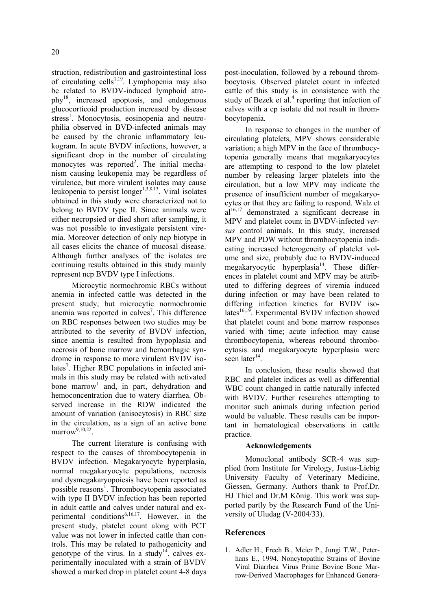struction, redistribution and gastrointestinal loss of circulating cells<sup> $1,19$ </sup>. Lymphopenia may also be related to BVDV-induced lymphoid atrophy18, increased apoptosis, and endogenous glucocorticoid production increased by disease stress<sup>1</sup>. Monocytosis, eosinopenia and neutrophilia observed in BVD-infected animals may be caused by the chronic inflammatory leukogram. In acute BVDV infections, however, a significant drop in the number of circulating monocytes was reported<sup>2</sup>. The initial mechanism causing leukopenia may be regardless of virulence, but more virulent isolates may cause leukopenia to persist longer $1,3,8,13$ . Viral isolates obtained in this study were characterized not to belong to BVDV type II. Since animals were either necropsied or died short after sampling, it was not possible to investigate persistent viremia. Moreover detection of only ncp biotype in all cases elicits the chance of mucosal disease. Although further analyses of the isolates are continuing results obtained in this study mainly represent ncp BVDV type I infections.

Microcytic normochromic RBCs without anemia in infected cattle was detected in the present study, but microcytic normochromic anemia was reported in calves<sup>7</sup>. This difference on RBC responses between two studies may be attributed to the severity of BVDV infection, since anemia is resulted from hypoplasia and necrosis of bone marrow and hemorrhagic syndrome in response to more virulent BVDV isolates<sup>7</sup>. Higher RBC populations in infected animals in this study may be related with activated bone marrow<sup>1</sup> and, in part, dehydration and hemoconcentration due to watery diarrhea. Observed increase in the RDW indicated the amount of variation (anisocytosis) in RBC size in the circulation, as a sign of an active bone marrow<sup>9,10,22</sup>

The current literature is confusing with respect to the causes of thrombocytopenia in BVDV infection. Megakaryocyte hyperplasia, normal megakaryocyte populations, necrosis and dysmegakaryopoiesis have been reported as possible reasons<sup>1</sup>. Thrombocytopenia associated with type II BVDV infection has been reported in adult cattle and calves under natural and experimental conditions<sup>6,16,17</sup>. However, in the present study, platelet count along with PCT value was not lower in infected cattle than controls. This may be related to pathogenicity and genotype of the virus. In a study<sup>14</sup>, calves experimentally inoculated with a strain of BVDV showed a marked drop in platelet count 4-8 days

post-inoculation, followed by a rebound thrombocytosis. Observed platelet count in infected cattle of this study is in consistence with the study of Bezek et al.<sup>4</sup> reporting that infection of calves with a cp isolate did not result in thrombocytopenia.

In response to changes in the number of circulating platelets, MPV shows considerable variation; a high MPV in the face of thrombocytopenia generally means that megakaryocytes are attempting to respond to the low platelet number by releasing larger platelets into the circulation, but a low MPV may indicate the presence of insufficient number of megakaryocytes or that they are failing to respond. Walz et  $al<sup>16,17</sup>$  demonstrated a significant decrease in MPV and platelet count in BVDV-infected *versus* control animals. In this study, increased MPV and PDW without thrombocytopenia indicating increased heterogeneity of platelet volume and size, probably due to BVDV-induced megakaryocytic hyperplasia<sup>14</sup>. These differences in platelet count and MPV may be attributed to differing degrees of viremia induced during infection or may have been related to differing infection kinetics for BVDV isolates $^{16,19}$ . Experimental BVDV infection showed that platelet count and bone marrow responses varied with time; acute infection may cause thrombocytopenia, whereas rebound thrombocytosis and megakaryocyte hyperplasia were seen later $14$ .

In conclusion, these results showed that RBC and platelet indices as well as differential WBC count changed in cattle naturally infected with BVDV. Further researches attempting to monitor such animals during infection period would be valuable. These results can be important in hematological observations in cattle practice.

### **Acknowledgements**

Monoclonal antibody SCR-4 was supplied from Institute for Virology, Justus-Liebig University Faculty of Veterinary Medicine, Giessen, Germany. Authors thank to Prof.Dr. HJ Thiel and Dr.M König. This work was supported partly by the Research Fund of the University of Uludag (V-2004/33).

# **References**

1. Adler H., Frech B., Meier P., Jungi T.W., Peterhans E., 1994. Noncytopathic Strains of Bovine Viral Diarrhea Virus Prime Bovine Bone Marrow-Derived Macrophages for Enhanced Genera-